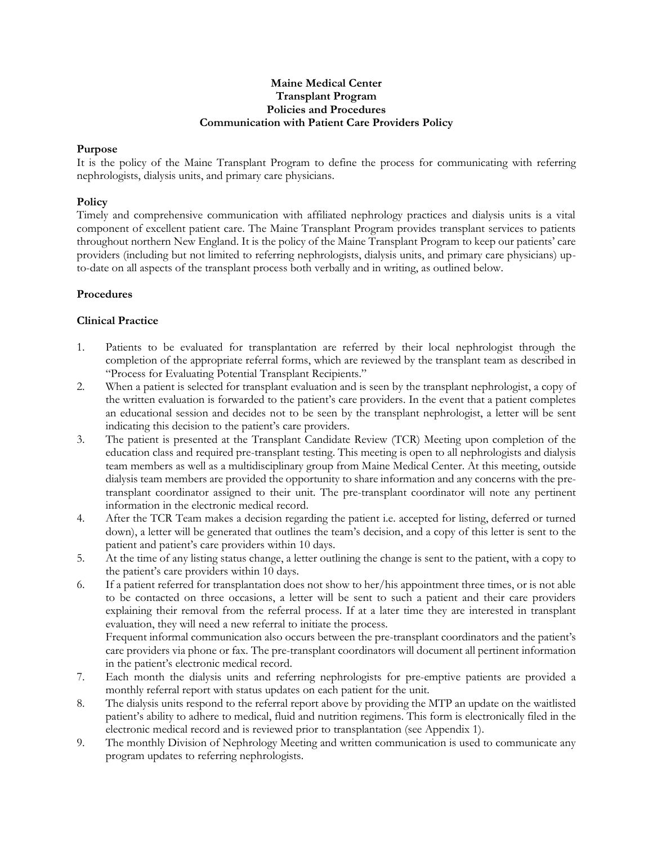### **Maine Medical Center Transplant Program Policies and Procedures Communication with Patient Care Providers Policy**

## **Purpose**

It is the policy of the Maine Transplant Program to define the process for communicating with referring nephrologists, dialysis units, and primary care physicians.

## **Policy**

Timely and comprehensive communication with affiliated nephrology practices and dialysis units is a vital component of excellent patient care. The Maine Transplant Program provides transplant services to patients throughout northern New England. It is the policy of the Maine Transplant Program to keep our patients' care providers (including but not limited to referring nephrologists, dialysis units, and primary care physicians) upto-date on all aspects of the transplant process both verbally and in writing, as outlined below.

### **Procedures**

### **Clinical Practice**

- 1. Patients to be evaluated for transplantation are referred by their local nephrologist through the completion of the appropriate referral forms, which are reviewed by the transplant team as described in "Process for Evaluating Potential Transplant Recipients."
- 2. When a patient is selected for transplant evaluation and is seen by the transplant nephrologist, a copy of the written evaluation is forwarded to the patient's care providers. In the event that a patient completes an educational session and decides not to be seen by the transplant nephrologist, a letter will be sent indicating this decision to the patient's care providers.
- 3. The patient is presented at the Transplant Candidate Review (TCR) Meeting upon completion of the education class and required pre-transplant testing. This meeting is open to all nephrologists and dialysis team members as well as a multidisciplinary group from Maine Medical Center. At this meeting, outside dialysis team members are provided the opportunity to share information and any concerns with the pretransplant coordinator assigned to their unit. The pre-transplant coordinator will note any pertinent information in the electronic medical record.
- 4. After the TCR Team makes a decision regarding the patient i.e. accepted for listing, deferred or turned down), a letter will be generated that outlines the team's decision, and a copy of this letter is sent to the patient and patient's care providers within 10 days.
- 5. At the time of any listing status change, a letter outlining the change is sent to the patient, with a copy to the patient's care providers within 10 days.
- 6. If a patient referred for transplantation does not show to her/his appointment three times, or is not able to be contacted on three occasions, a letter will be sent to such a patient and their care providers explaining their removal from the referral process. If at a later time they are interested in transplant evaluation, they will need a new referral to initiate the process.

Frequent informal communication also occurs between the pre-transplant coordinators and the patient's care providers via phone or fax. The pre-transplant coordinators will document all pertinent information in the patient's electronic medical record.

- 7. Each month the dialysis units and referring nephrologists for pre-emptive patients are provided a monthly referral report with status updates on each patient for the unit.
- 8. The dialysis units respond to the referral report above by providing the MTP an update on the waitlisted patient's ability to adhere to medical, fluid and nutrition regimens. This form is electronically filed in the electronic medical record and is reviewed prior to transplantation (see Appendix 1).
- 9. The monthly Division of Nephrology Meeting and written communication is used to communicate any program updates to referring nephrologists.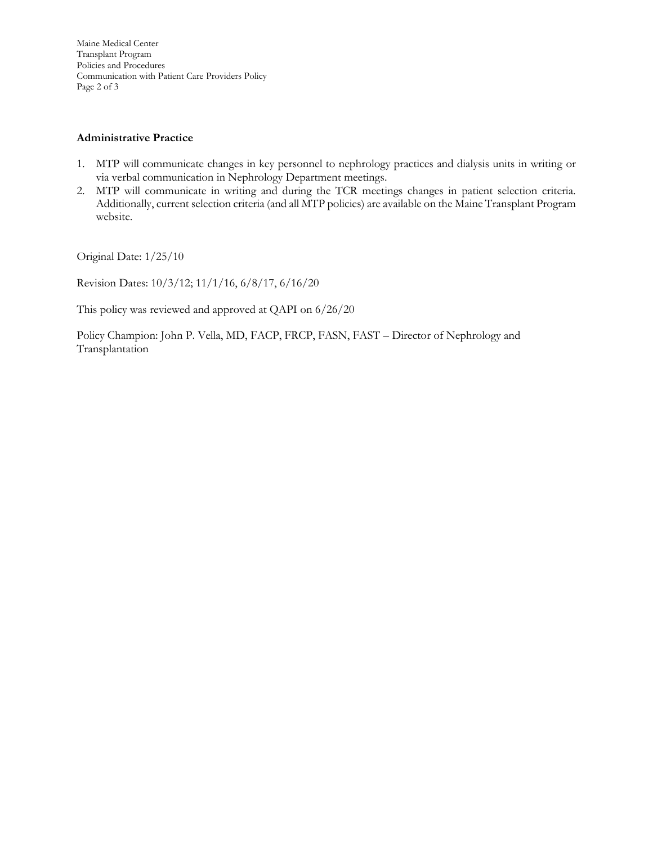Maine Medical Center Transplant Program Policies and Procedures Communication with Patient Care Providers Policy Page 2 of 3

## **Administrative Practice**

- 1. MTP will communicate changes in key personnel to nephrology practices and dialysis units in writing or via verbal communication in Nephrology Department meetings.
- 2. MTP will communicate in writing and during the TCR meetings changes in patient selection criteria. Additionally, current selection criteria (and all MTP policies) are available on the Maine Transplant Program website.

Original Date: 1/25/10

Revision Dates: 10/3/12; 11/1/16, 6/8/17, 6/16/20

This policy was reviewed and approved at QAPI on 6/26/20

Policy Champion: John P. Vella, MD, FACP, FRCP, FASN, FAST – Director of Nephrology and Transplantation